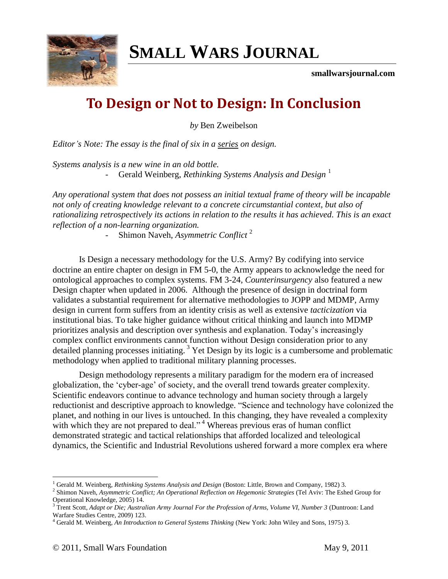

# **SMALL WARS JOURNAL**

**smallwarsjournal.com**

## **To Design or Not to Design: In Conclusion**

*by* Ben Zweibelson

*Editor's Note: The essay is the final of six in a [series](http://www.google.com/custom?domains=smallwarsjournal.com&q=%22To+Design+or+Not+to+Design%22&sitesearch=smallwarsjournal.com&sa=Search&client=pub-9082475459908859&forid=1&ie=ISO-8859-1&oe=ISO-8859-1&flav=0000&sig=jxaC0TjM5-C-A0ca&cof=GALT%3A%23008000%3BGL%3A1%3BDIV%3A%23336699%3BVLC%3A663399%3BAH%3Acenter%3BBGC%3AFFFFFF%3BLBGC%3A336699%3BALC%3A0000FF%3BLC%3A0000FF%3BT%3A000000%3BGFNT%3A0000FF%3BGIMP%3A0000FF%3BFORID%3A1&hl=en) on design.*

*Systems analysis is a new wine in an old bottle.*

- Gerald Weinberg, *Rethinking Systems Analysis and Design* <sup>1</sup>

*Any operational system that does not possess an initial textual frame of theory will be incapable not only of creating knowledge relevant to a concrete circumstantial context, but also of rationalizing retrospectively its actions in relation to the results it has achieved. This is an exact reflection of a non-learning organization.*

- Shimon Naveh, *Asymmetric Conflict* <sup>2</sup>

Is Design a necessary methodology for the U.S. Army? By codifying into service doctrine an entire chapter on design in FM 5-0, the Army appears to acknowledge the need for ontological approaches to complex systems. FM 3-24, *Counterinsurgency* also featured a new Design chapter when updated in 2006. Although the presence of design in doctrinal form validates a substantial requirement for alternative methodologies to JOPP and MDMP, Army design in current form suffers from an identity crisis as well as extensive *tacticization* via institutional bias. To take higher guidance without critical thinking and launch into MDMP prioritizes analysis and description over synthesis and explanation. Today"s increasingly complex conflict environments cannot function without Design consideration prior to any detailed planning processes initiating.<sup>3</sup> Yet Design by its logic is a cumbersome and problematic methodology when applied to traditional military planning processes.

Design methodology represents a military paradigm for the modern era of increased globalization, the "cyber-age" of society, and the overall trend towards greater complexity. Scientific endeavors continue to advance technology and human society through a largely reductionist and descriptive approach to knowledge. "Science and technology have colonized the planet, and nothing in our lives is untouched. In this changing, they have revealed a complexity with which they are not prepared to deal."<sup>4</sup> Whereas previous eras of human conflict demonstrated strategic and tactical relationships that afforded localized and teleological dynamics, the Scientific and Industrial Revolutions ushered forward a more complex era where

<sup>1</sup> Gerald M. Weinberg, *Rethinking Systems Analysis and Design* (Boston: Little, Brown and Company, 1982) 3.

<sup>2</sup> Shimon Naveh, *Asymmetric Conflict; An Operational Reflection on Hegemonic Strategies* (Tel Aviv: The Eshed Group for Operational Knowledge, 2005) 14.

<sup>3</sup> Trent Scott*, Adapt or Die; Australian Army Journal For the Profession of Arms, Volume VI, Number 3* (Duntroon: Land Warfare Studies Centre, 2009) 123.

<sup>4</sup> Gerald M. Weinberg, *An Introduction to General Systems Thinking* (New York: John Wiley and Sons, 1975) 3.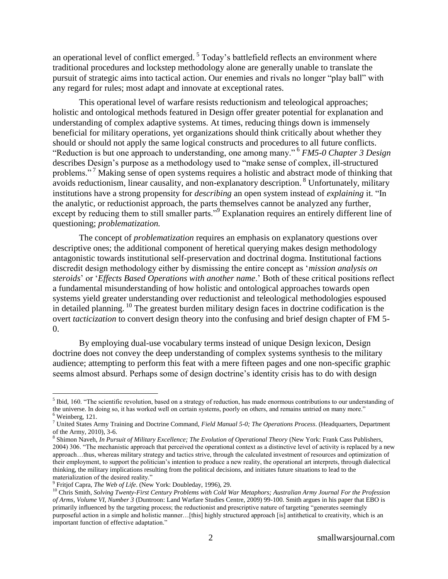an operational level of conflict emerged.<sup>5</sup> Today's battlefield reflects an environment where traditional procedures and lockstep methodology alone are generally unable to translate the pursuit of strategic aims into tactical action. Our enemies and rivals no longer "play ball" with any regard for rules; most adapt and innovate at exceptional rates.

This operational level of warfare resists reductionism and teleological approaches; holistic and ontological methods featured in Design offer greater potential for explanation and understanding of complex adaptive systems. At times, reducing things down is immensely beneficial for military operations, yet organizations should think critically about whether they should or should not apply the same logical constructs and procedures to all future conflicts. "Reduction is but one approach to understanding, one among many." <sup>6</sup> *FM5-0 Chapter 3 Design* describes Design"s purpose as a methodology used to "make sense of complex, ill-structured problems."<sup>7</sup> Making sense of open systems requires a holistic and abstract mode of thinking that avoids reductionism, linear causality, and non-explanatory description. <sup>8</sup> Unfortunately, military institutions have a strong propensity for *describing* an open system instead of *explaining* it. "In the analytic, or reductionist approach, the parts themselves cannot be analyzed any further, except by reducing them to still smaller parts."<sup>9</sup> Explanation requires an entirely different line of questioning; *problematization.*

The concept of *problematization* requires an emphasis on explanatory questions over descriptive ones; the additional component of heretical querying makes design methodology antagonistic towards institutional self-preservation and doctrinal dogma. Institutional factions discredit design methodology either by dismissing the entire concept as "*mission analysis on steroids*" or "*Effects Based Operations with another name*." Both of these critical positions reflect a fundamental misunderstanding of how holistic and ontological approaches towards open systems yield greater understanding over reductionist and teleological methodologies espoused in detailed planning. <sup>10</sup> The greatest burden military design faces in doctrine codification is the overt *tacticization* to convert design theory into the confusing and brief design chapter of FM 5- 0.

By employing dual-use vocabulary terms instead of unique Design lexicon, Design doctrine does not convey the deep understanding of complex systems synthesis to the military audience; attempting to perform this feat with a mere fifteen pages and one non-specific graphic seems almost absurd. Perhaps some of design doctrine's identity crisis has to do with design

 $<sup>5</sup>$  Ibid, 160. "The scientific revolution, based on a strategy of reduction, has made enormous contributions to our understanding of</sup> the universe. In doing so, it has worked well on certain systems, poorly on others, and remains untried on many more."  $6$  Weinberg, 121.

<sup>7</sup> United States Army Training and Doctrine Command, *Field Manual 5-0; The Operations Process*. (Headquarters, Department of the Army, 2010), 3-6.

<sup>8</sup> Shimon Naveh, *In Pursuit of Military Excellence; The Evolution of Operational Theory* (New York: Frank Cass Publishers, 2004) 306. "The mechanistic approach that perceived the operational context as a distinctive level of activity is replaced by a new approach…thus, whereas military strategy and tactics strive, through the calculated investment of resources and optimization of their employment, to support the politician"s intention to produce a new reality, the operational art interprets, through dialectical thinking, the military implications resulting from the political decisions, and initiates future situations to lead to the materialization of the desired reality."

<sup>9</sup> Fritjof Capra, *The Web of Life*. (New York: Doubleday, 1996), 29.

<sup>&</sup>lt;sup>10</sup> Chris Smith, Solving Twenty-First Century Problems with Cold War Metaphors; Australian Army Journal For the Profession *of Arms, Volume VI, Number 3* (Duntroon: Land Warfare Studies Centre, 2009) 99-100. Smith argues in his paper that EBO is primarily influenced by the targeting process; the reductionist and prescriptive nature of targeting "generates seemingly purposeful action in a simple and holistic manner…[this] highly structured approach [is] antithetical to creativity, which is an important function of effective adaptation."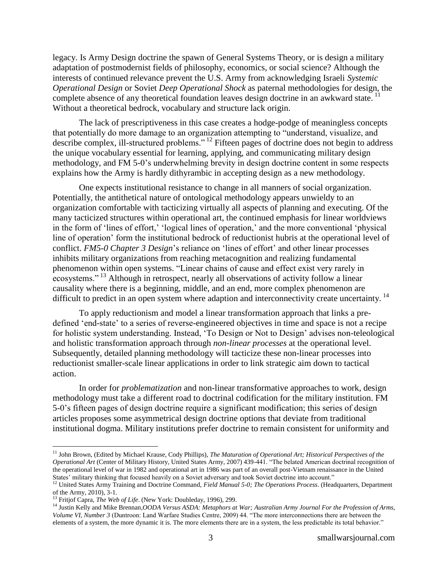legacy. Is Army Design doctrine the spawn of General Systems Theory, or is design a military adaptation of postmodernist fields of philosophy, economics, or social science? Although the interests of continued relevance prevent the U.S. Army from acknowledging Israeli *Systemic Operational Design* or Soviet *Deep Operational Shock* as paternal methodologies for design, the complete absence of any theoretical foundation leaves design doctrine in an awkward state.<sup>11</sup> Without a theoretical bedrock, vocabulary and structure lack origin.

The lack of prescriptiveness in this case creates a hodge-podge of meaningless concepts that potentially do more damage to an organization attempting to "understand, visualize, and describe complex, ill-structured problems." <sup>12</sup> Fifteen pages of doctrine does not begin to address the unique vocabulary essential for learning, applying, and communicating military design methodology, and FM 5-0"s underwhelming brevity in design doctrine content in some respects explains how the Army is hardly dithyrambic in accepting design as a new methodology.

One expects institutional resistance to change in all manners of social organization. Potentially, the antithetical nature of ontological methodology appears unwieldy to an organization comfortable with tacticizing virtually all aspects of planning and executing. Of the many tacticized structures within operational art, the continued emphasis for linear worldviews in the form of 'lines of effort,' 'logical lines of operation,' and the more conventional 'physical line of operation" form the institutional bedrock of reductionist hubris at the operational level of conflict. *FM5-0 Chapter 3 Design*'s reliance on 'lines of effort' and other linear processes inhibits military organizations from reaching metacognition and realizing fundamental phenomenon within open systems. "Linear chains of cause and effect exist very rarely in ecosystems."<sup>13</sup> Although in retrospect, nearly all observations of activity follow a linear causality where there is a beginning, middle, and an end, more complex phenomenon are difficult to predict in an open system where adaption and interconnectivity create uncertainty.<sup>14</sup>

To apply reductionism and model a linear transformation approach that links a predefined "end-state" to a series of reverse-engineered objectives in time and space is not a recipe for holistic system understanding. Instead, "To Design or Not to Design" advises non-teleological and holistic transformation approach through *non-linear processes* at the operational level. Subsequently, detailed planning methodology will tacticize these non-linear processes into reductionist smaller-scale linear applications in order to link strategic aim down to tactical action.

In order for *problematization* and non-linear transformative approaches to work, design methodology must take a different road to doctrinal codification for the military institution. FM 5-0"s fifteen pages of design doctrine require a significant modification; this series of design articles proposes some asymmetrical design doctrine options that deviate from traditional institutional dogma. Military institutions prefer doctrine to remain consistent for uniformity and

<sup>&</sup>lt;sup>11</sup> John Brown, (Edited by Michael Krause, Cody Phillips), *The Maturation of Operational Art; Historical Perspectives of the Operational Art* (Center of Military History, United States Army, 2007) 439-441. "The belated American doctrinal recognition of the operational level of war in 1982 and operational art in 1986 was part of an overall post-Vietnam renaissance in the United States' military thinking that focused heavily on a Soviet adversary and took Soviet doctrine into account."

<sup>&</sup>lt;sup>12</sup> United States Army Training and Doctrine Command, *Field Manual 5-0; The Operations Process*. (Headquarters, Department of the Army, 2010), 3-1.

<sup>13</sup> Fritjof Capra, *The Web of Life*. (New York: Doubleday, 1996), 299.

<sup>14</sup> Justin Kelly and Mike Brennan*,OODA Versus ASDA: Metaphors at War; Australian Army Journal For the Profession of Arms, Volume VI, Number 3* (Duntroon: Land Warfare Studies Centre, 2009) 44. "The more interconnections there are between the elements of a system, the more dynamic it is. The more elements there are in a system, the less predictable its total behavior."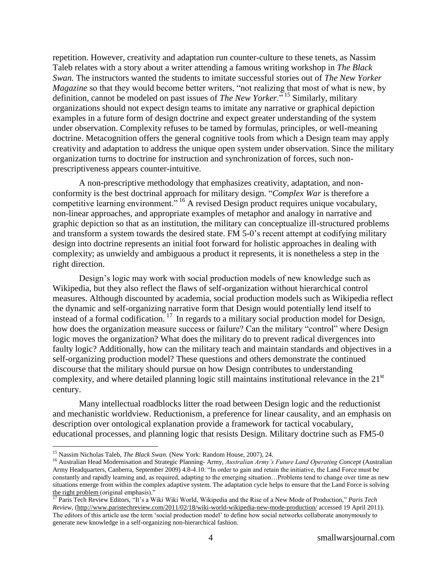repetition. However, creativity and adaptation run counter-culture to these tenets, as Nassim Taleb relates with a story about a writer attending a famous writing workshop in *The Black Swan.* The instructors wanted the students to imitate successful stories out of *The New Yorker Magazine* so that they would become better writers, "not realizing that most of what is new, by definition, cannot be modeled on past issues of *The New Yorker.*" <sup>15</sup> Similarly, military organizations should not expect design teams to imitate any narrative or graphical depiction examples in a future form of design doctrine and expect greater understanding of the system under observation. Complexity refuses to be tamed by formulas, principles, or well-meaning doctrine. Metacognition offers the general cognitive tools from which a Design team may apply creativity and adaptation to address the unique open system under observation. Since the military organization turns to doctrine for instruction and synchronization of forces, such nonprescriptiveness appears counter-intuitive.

A non-prescriptive methodology that emphasizes creativity, adaptation, and nonconformity is the best doctrinal approach for military design. "*Complex War* is therefore a competitive learning environment." <sup>16</sup> A revised Design product requires unique vocabulary, non-linear approaches, and appropriate examples of metaphor and analogy in narrative and graphic depiction so that as an institution, the military can conceptualize ill-structured problems and transform a system towards the desired state. FM 5-0"s recent attempt at codifying military design into doctrine represents an initial foot forward for holistic approaches in dealing with complexity; as unwieldy and ambiguous a product it represents, it is nonetheless a step in the right direction.

Design"s logic may work with social production models of new knowledge such as Wikipedia, but they also reflect the flaws of self-organization without hierarchical control measures. Although discounted by academia, social production models such as Wikipedia reflect the dynamic and self-organizing narrative form that Design would potentially lend itself to instead of a formal codification. <sup>17</sup> In regards to a military social production model for Design, how does the organization measure success or failure? Can the military "control" where Design logic moves the organization? What does the military do to prevent radical divergences into faulty logic? Additionally, how can the military teach and maintain standards and objectives in a self-organizing production model? These questions and others demonstrate the continued discourse that the military should pursue on how Design contributes to understanding complexity, and where detailed planning logic still maintains institutional relevance in the  $21<sup>st</sup>$ century.

Many intellectual roadblocks litter the road between Design logic and the reductionist and mechanistic worldview. Reductionism, a preference for linear causality, and an emphasis on description over ontological explanation provide a framework for tactical vocabulary, educational processes, and planning logic that resists Design. Military doctrine such as FM5-0

<sup>15</sup> Nassim Nicholas Taleb, *The Black Swan.* (New York: Random House, 2007), 24.

<sup>16</sup> Australian Head Modernisation and Strategic Planning- Army, *Australian Army's Future Land Operating Concept* (Australian Army Headquarters, Canberra, September 2009) 4.8-4.10. "In order to gain and retain the initiative, the Land Force must be constantly and rapidly learning and, as required, adapting to the emerging situation…Problems tend to change over time as new situations emerge from within the complex adaptive system. The adaptation cycle helps to ensure that the Land Force is solving the right problem (original emphasis)."

<sup>17</sup> Paris Tech Review Editors, "It"s a Wiki Wiki World, Wikipedia and the Rise of a New Mode of Production," *Paris Tech Review,* [\(http://www.paristechreview.com/2011/02/18/wiki-world-wikipedia-new-mode-production/](http://www.paristechreview.com/2011/02/18/wiki-world-wikipedia-new-mode-production/) accessed 19 April 2011). The editors of this article use the term "social production model" to define how social networks collaborate anonymously to generate new knowledge in a self-organizing non-hierarchical fashion.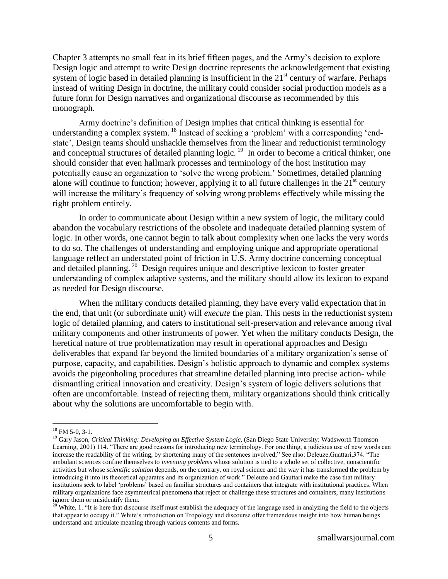Chapter 3 attempts no small feat in its brief fifteen pages, and the Army"s decision to explore Design logic and attempt to write Design doctrine represents the acknowledgement that existing system of logic based in detailed planning is insufficient in the  $21<sup>st</sup>$  century of warfare. Perhaps instead of writing Design in doctrine, the military could consider social production models as a future form for Design narratives and organizational discourse as recommended by this monograph.

Army doctrine"s definition of Design implies that critical thinking is essential for understanding a complex system. <sup>18</sup> Instead of seeking a 'problem' with a corresponding 'endstate", Design teams should unshackle themselves from the linear and reductionist terminology and conceptual structures of detailed planning logic*.* 19 In order to become a critical thinker, one should consider that even hallmark processes and terminology of the host institution may potentially cause an organization to "solve the wrong problem." Sometimes, detailed planning alone will continue to function; however, applying it to all future challenges in the  $21<sup>st</sup>$  century will increase the military's frequency of solving wrong problems effectively while missing the right problem entirely.

In order to communicate about Design within a new system of logic, the military could abandon the vocabulary restrictions of the obsolete and inadequate detailed planning system of logic. In other words, one cannot begin to talk about complexity when one lacks the very words to do so. The challenges of understanding and employing unique and appropriate operational language reflect an understated point of friction in U.S. Army doctrine concerning conceptual and detailed planning.<sup>20</sup> Design requires unique and descriptive lexicon to foster greater understanding of complex adaptive systems, and the military should allow its lexicon to expand as needed for Design discourse.

When the military conducts detailed planning, they have every valid expectation that in the end, that unit (or subordinate unit) will *execute* the plan. This nests in the reductionist system logic of detailed planning, and caters to institutional self-preservation and relevance among rival military components and other instruments of power. Yet when the military conducts Design, the heretical nature of true problematization may result in operational approaches and Design deliverables that expand far beyond the limited boundaries of a military organization"s sense of purpose, capacity, and capabilities. Design"s holistic approach to dynamic and complex systems avoids the pigeonholing procedures that streamline detailed planning into precise action- while dismantling critical innovation and creativity. Design"s system of logic delivers solutions that often are uncomfortable. Instead of rejecting them, military organizations should think critically about why the solutions are uncomfortable to begin with.

 $18$  FM 5-0, 3-1.

<sup>19</sup> Gary Jason, *Critical Thinking: Developing an Effective System Logic,* (San Diego State University: Wadsworth Thomson Learning, 2001) 114. "There are good reasons for introducing new terminology. For one thing, a judicious use of new words can increase the readability of the writing, by shortening many of the sentences involved;" See also: Deleuze,Guattari,374. "The ambulant sciences confine themselves to *inventing problems* whose solution is tied to a whole set of collective, nonscientific activities but whose *scientific solution* depends, on the contrary, on royal science and the way it has transformed the problem by introducing it into its theoretical apparatus and its organization of work." Deleuze and Gauttari make the case that military institutions seek to label "problems" based on familiar structures and containers that integrate with institutional practices. When military organizations face asymmetrical phenomena that reject or challenge these structures and containers, many institutions ignore them or misidentify them.<br> $^{20}$  White 1 (4)

<sup>20</sup> White, 1. "It is here that discourse itself must establish the adequacy of the language used in analyzing the field to the objects that appear to occupy it." White"s introduction on Tropology and discourse offer tremendous insight into how human beings understand and articulate meaning through various contents and forms.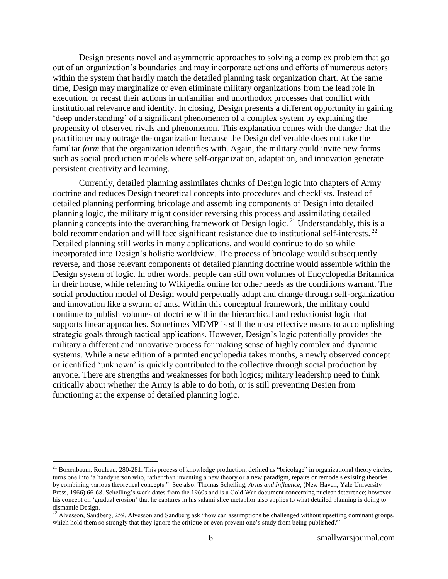Design presents novel and asymmetric approaches to solving a complex problem that go out of an organization"s boundaries and may incorporate actions and efforts of numerous actors within the system that hardly match the detailed planning task organization chart. At the same time, Design may marginalize or even eliminate military organizations from the lead role in execution, or recast their actions in unfamiliar and unorthodox processes that conflict with institutional relevance and identity. In closing, Design presents a different opportunity in gaining "deep understanding" of a significant phenomenon of a complex system by explaining the propensity of observed rivals and phenomenon. This explanation comes with the danger that the practitioner may outrage the organization because the Design deliverable does not take the familiar *form* that the organization identifies with. Again, the military could invite new forms such as social production models where self-organization, adaptation, and innovation generate persistent creativity and learning.

Currently, detailed planning assimilates chunks of Design logic into chapters of Army doctrine and reduces Design theoretical concepts into procedures and checklists. Instead of detailed planning performing bricolage and assembling components of Design into detailed planning logic, the military might consider reversing this process and assimilating detailed planning concepts into the overarching framework of Design logic.<sup>21</sup> Understandably, this is a bold recommendation and will face significant resistance due to institutional self-interests.<sup>22</sup> Detailed planning still works in many applications, and would continue to do so while incorporated into Design"s holistic worldview. The process of bricolage would subsequently reverse, and those relevant components of detailed planning doctrine would assemble within the Design system of logic. In other words, people can still own volumes of Encyclopedia Britannica in their house, while referring to Wikipedia online for other needs as the conditions warrant. The social production model of Design would perpetually adapt and change through self-organization and innovation like a swarm of ants. Within this conceptual framework, the military could continue to publish volumes of doctrine within the hierarchical and reductionist logic that supports linear approaches. Sometimes MDMP is still the most effective means to accomplishing strategic goals through tactical applications. However, Design"s logic potentially provides the military a different and innovative process for making sense of highly complex and dynamic systems. While a new edition of a printed encyclopedia takes months, a newly observed concept or identified "unknown" is quickly contributed to the collective through social production by anyone. There are strengths and weaknesses for both logics; military leadership need to think critically about whether the Army is able to do both, or is still preventing Design from functioning at the expense of detailed planning logic.

<sup>&</sup>lt;sup>21</sup> Boxenbaum, Rouleau, 280-281. This process of knowledge production, defined as "bricolage" in organizational theory circles, turns one into "a handyperson who, rather than inventing a new theory or a new paradigm, repairs or remodels existing theories by combining various theoretical concepts." See also: Thomas Schelling, *Arms and Influence,* (New Haven, Yale University Press, 1966) 66-68. Schelling's work dates from the 1960s and is a Cold War document concerning nuclear deterrence; however his concept on "gradual erosion" that he captures in his salami slice metaphor also applies to what detailed planning is doing to dismantle Design.

 $^{22}$  Alvesson, Sandberg, 259. Alvesson and Sandberg ask "how can assumptions be challenged without upsetting dominant groups, which hold them so strongly that they ignore the critique or even prevent one's study from being published?"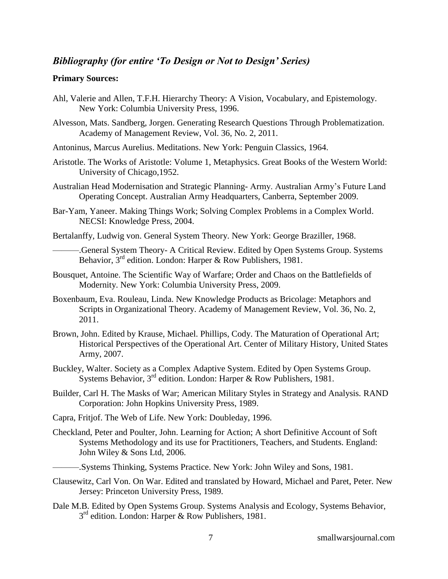### *Bibliography (for entire 'To Design or Not to Design' Series)*

#### **Primary Sources:**

- Ahl, Valerie and Allen, T.F.H. Hierarchy Theory: A Vision, Vocabulary, and Epistemology. New York: Columbia University Press, 1996.
- Alvesson, Mats. Sandberg, Jorgen. Generating Research Questions Through Problematization. Academy of Management Review, Vol. 36, No. 2, 2011.
- Antoninus, Marcus Aurelius. Meditations. New York: Penguin Classics, 1964.
- Aristotle. The Works of Aristotle: Volume 1, Metaphysics. Great Books of the Western World: University of Chicago,1952.
- Australian Head Modernisation and Strategic Planning- Army. Australian Army"s Future Land Operating Concept. Australian Army Headquarters, Canberra, September 2009.
- Bar-Yam, Yaneer. Making Things Work; Solving Complex Problems in a Complex World. NECSI: Knowledge Press, 2004.
- Bertalanffy, Ludwig von. General System Theory. New York: George Braziller, 1968.

-General System Theory- A Critical Review. Edited by Open Systems Group. Systems Behavior,  $3<sup>rd</sup>$  edition. London: Harper & Row Publishers, 1981.

- Bousquet, Antoine. The Scientific Way of Warfare; Order and Chaos on the Battlefields of Modernity. New York: Columbia University Press, 2009.
- Boxenbaum, Eva. Rouleau, Linda. New Knowledge Products as Bricolage: Metaphors and Scripts in Organizational Theory. Academy of Management Review, Vol. 36, No. 2, 2011.
- Brown, John. Edited by Krause, Michael. Phillips, Cody. The Maturation of Operational Art; Historical Perspectives of the Operational Art. Center of Military History, United States Army, 2007.
- Buckley, Walter. Society as a Complex Adaptive System. Edited by Open Systems Group. Systems Behavior,  $3<sup>rd</sup>$  edition. London: Harper & Row Publishers, 1981.
- Builder, Carl H. The Masks of War; American Military Styles in Strategy and Analysis*.* RAND Corporation: John Hopkins University Press, 1989.
- Capra, Fritjof. The Web of Life. New York: Doubleday, 1996.
- Checkland, Peter and Poulter, John. Learning for Action; A short Definitive Account of Soft Systems Methodology and its use for Practitioners, Teachers, and Students. England: John Wiley & Sons Ltd, 2006.
- ———.Systems Thinking, Systems Practice. New York: John Wiley and Sons, 1981.
- Clausewitz, Carl Von. On War. Edited and translated by Howard, Michael and Paret, Peter. New Jersey: Princeton University Press, 1989.
- Dale M.B. Edited by Open Systems Group. Systems Analysis and Ecology, Systems Behavior, 3<sup>rd</sup> edition. London: Harper & Row Publishers, 1981.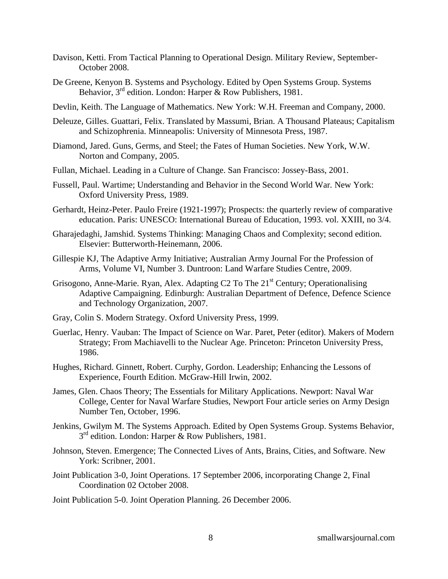- Davison, Ketti. From Tactical Planning to Operational Design. Military Review, September-October 2008.
- De Greene, Kenyon B. Systems and Psychology. Edited by Open Systems Group. Systems Behavior, 3<sup>rd</sup> edition. London: Harper & Row Publishers, 1981.
- Devlin, Keith. The Language of Mathematics. New York: W.H. Freeman and Company, 2000.
- Deleuze, Gilles. Guattari, Felix. Translated by Massumi, Brian. A Thousand Plateaus; Capitalism and Schizophrenia. Minneapolis: University of Minnesota Press, 1987.
- Diamond, Jared. Guns, Germs, and Steel; the Fates of Human Societies. New York, W.W. Norton and Company, 2005.
- Fullan, Michael. Leading in a Culture of Change. San Francisco: Jossey-Bass, 2001.
- Fussell, Paul. Wartime; Understanding and Behavior in the Second World War*.* New York: Oxford University Press, 1989.
- Gerhardt, Heinz-Peter. Paulo Freire (1921-1997); Prospects: the quarterly review of comparative education. Paris: UNESCO: International Bureau of Education, 1993. vol. XXIII, no 3/4.
- Gharajedaghi, Jamshid. Systems Thinking: Managing Chaos and Complexity; second edition. Elsevier: Butterworth-Heinemann, 2006.
- Gillespie KJ*,* The Adaptive Army Initiative; Australian Army Journal For the Profession of Arms, Volume VI, Number 3. Duntroon: Land Warfare Studies Centre, 2009.
- Grisogono, Anne-Marie. Ryan, Alex. Adapting C2 To The 21<sup>st</sup> Century; Operationalising Adaptive Campaigning. Edinburgh: Australian Department of Defence, Defence Science and Technology Organization, 2007.
- Gray, Colin S. Modern Strategy. Oxford University Press, 1999.
- Guerlac, Henry. Vauban: The Impact of Science on War. Paret, Peter (editor). Makers of Modern Strategy; From Machiavelli to the Nuclear Age. Princeton: Princeton University Press, 1986.
- Hughes, Richard. Ginnett, Robert. Curphy, Gordon. Leadership; Enhancing the Lessons of Experience, Fourth Edition. McGraw-Hill Irwin, 2002.
- James, Glen. Chaos Theory; The Essentials for Military Applications. Newport: Naval War College, Center for Naval Warfare Studies, Newport Four article series on Army Design Number Ten, October, 1996.
- Jenkins, Gwilym M. The Systems Approach. Edited by Open Systems Group. Systems Behavior, 3<sup>rd</sup> edition. London: Harper & Row Publishers, 1981.
- Johnson, Steven. Emergence; The Connected Lives of Ants, Brains, Cities, and Software. New York: Scribner, 2001.
- Joint Publication 3-0, Joint Operations. 17 September 2006, incorporating Change 2, Final Coordination 02 October 2008.

Joint Publication 5-0. Joint Operation Planning. 26 December 2006.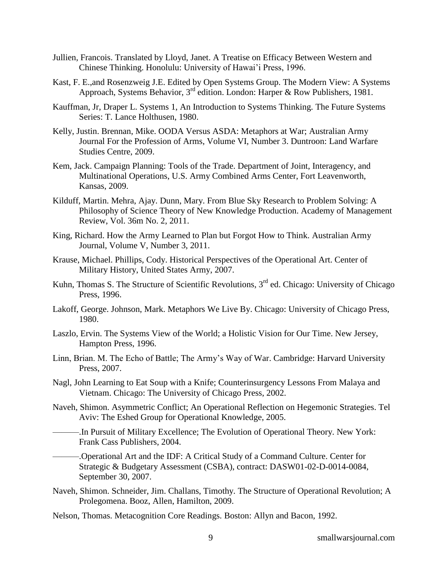- Jullien, Francois. Translated by Lloyd, Janet. A Treatise on Efficacy Between Western and Chinese Thinking. Honolulu: University of Hawai"i Press, 1996.
- Kast, F. E.,and Rosenzweig J.E. Edited by Open Systems Group. The Modern View: A Systems Approach, Systems Behavior, 3rd edition. London: Harper & Row Publishers, 1981.
- Kauffman, Jr, Draper L. Systems 1, An Introduction to Systems Thinking. The Future Systems Series: T. Lance Holthusen, 1980.
- Kelly, Justin. Brennan, Mike. OODA Versus ASDA: Metaphors at War; Australian Army Journal For the Profession of Arms, Volume VI, Number 3. Duntroon: Land Warfare Studies Centre, 2009.
- Kem, Jack. Campaign Planning: Tools of the Trade. Department of Joint, Interagency, and Multinational Operations, U.S. Army Combined Arms Center, Fort Leavenworth, Kansas, 2009.
- Kilduff, Martin. Mehra, Ajay. Dunn, Mary. From Blue Sky Research to Problem Solving: A Philosophy of Science Theory of New Knowledge Production. Academy of Management Review, Vol. 36m No. 2, 2011.
- King, Richard. How the Army Learned to Plan but Forgot How to Think. Australian Army Journal, Volume V, Number 3, 2011.
- Krause, Michael. Phillips, Cody. Historical Perspectives of the Operational Art. Center of Military History, United States Army, 2007.
- Kuhn, Thomas S. The Structure of Scientific Revolutions, 3<sup>rd</sup> ed. Chicago: University of Chicago Press, 1996.
- Lakoff, George. Johnson, Mark. Metaphors We Live By. Chicago: University of Chicago Press, 1980.
- Laszlo, Ervin. The Systems View of the World; a Holistic Vision for Our Time. New Jersey, Hampton Press, 1996.
- Linn, Brian. M. The Echo of Battle; The Army"s Way of War. Cambridge: Harvard University Press, 2007.
- Nagl, John Learning to Eat Soup with a Knife; Counterinsurgency Lessons From Malaya and Vietnam. Chicago: The University of Chicago Press, 2002.
- Naveh, Shimon. Asymmetric Conflict; An Operational Reflection on Hegemonic Strategies. Tel Aviv: The Eshed Group for Operational Knowledge, 2005.
- -.In Pursuit of Military Excellence; The Evolution of Operational Theory. New York: Frank Cass Publishers, 2004.
- ———.Operational Art and the IDF: A Critical Study of a Command Culture. Center for Strategic & Budgetary Assessment (CSBA), contract: DASW01-02-D-0014-0084, September 30, 2007.
- Naveh, Shimon. Schneider, Jim. Challans, Timothy. The Structure of Operational Revolution; A Prolegomena. Booz, Allen, Hamilton, 2009.
- Nelson, Thomas. Metacognition Core Readings. Boston: Allyn and Bacon, 1992.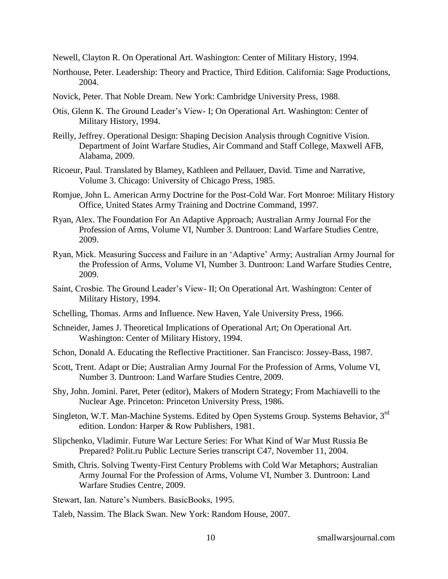Newell, Clayton R. On Operational Art. Washington: Center of Military History, 1994.

- Northouse, Peter. Leadership: Theory and Practice, Third Edition. California: Sage Productions, 2004.
- Novick, Peter. That Noble Dream. New York: Cambridge University Press, 1988.
- Otis, Glenn K. The Ground Leader"s View- I; On Operational Art. Washington: Center of Military History, 1994.
- Reilly, Jeffrey. Operational Design: Shaping Decision Analysis through Cognitive Vision. Department of Joint Warfare Studies, Air Command and Staff College, Maxwell AFB, Alabama, 2009.
- Ricoeur, Paul. Translated by Blamey, Kathleen and Pellauer, David. Time and Narrative, Volume 3. Chicago: University of Chicago Press, 1985.
- Romjue, John L. American Army Doctrine for the Post-Cold War. Fort Monroe: Military History Office, United States Army Training and Doctrine Command, 1997.
- Ryan, Alex. The Foundation For An Adaptive Approach; Australian Army Journal For the Profession of Arms, Volume VI, Number 3. Duntroon: Land Warfare Studies Centre, 2009.
- Ryan, Mick. Measuring Success and Failure in an "Adaptive" Army; Australian Army Journal for the Profession of Arms, Volume VI, Number 3. Duntroon: Land Warfare Studies Centre, 2009.
- Saint, Crosbie. The Ground Leader"s View- II; On Operational Art. Washington: Center of Military History, 1994.
- Schelling, Thomas. Arms and Influence. New Haven, Yale University Press, 1966.
- Schneider, James J. Theoretical Implications of Operational Art; On Operational Art. Washington: Center of Military History, 1994.
- Schon, Donald A. Educating the Reflective Practitioner. San Francisco: Jossey-Bass, 1987.
- Scott, Trent. Adapt or Die; Australian Army Journal For the Profession of Arms, Volume VI, Number 3. Duntroon: Land Warfare Studies Centre, 2009.
- Shy, John. Jomini. Paret, Peter (editor), Makers of Modern Strategy; From Machiavelli to the Nuclear Age. Princeton: Princeton University Press, 1986.
- Singleton, W.T. Man-Machine Systems. Edited by Open Systems Group. Systems Behavior, 3rd edition. London: Harper & Row Publishers, 1981.
- Slipchenko, Vladimir. Future War Lecture Series: For What Kind of War Must Russia Be Prepared? Polit.ru Public Lecture Series transcript C47, November 11, 2004.
- Smith, Chris. Solving Twenty-First Century Problems with Cold War Metaphors; Australian Army Journal For the Profession of Arms, Volume VI, Number 3. Duntroon: Land Warfare Studies Centre, 2009.

Stewart, Ian. Nature"s Numbers. BasicBooks, 1995.

Taleb, Nassim. The Black Swan. New York: Random House, 2007.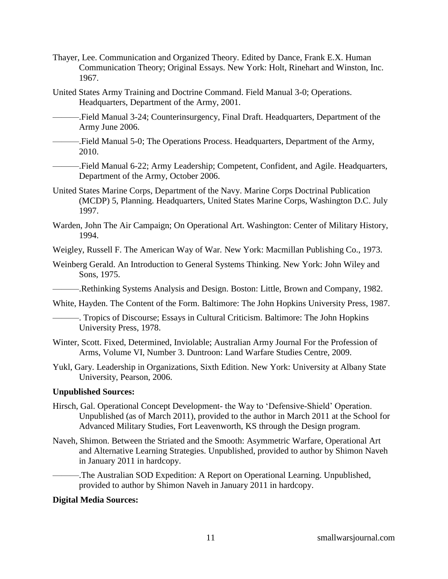- Thayer, Lee. Communication and Organized Theory. Edited by Dance, Frank E.X. Human Communication Theory; Original Essays. New York: Holt, Rinehart and Winston, Inc. 1967.
- United States Army Training and Doctrine Command. Field Manual 3-0; Operations. Headquarters, Department of the Army, 2001.
- ———.Field Manual 3-24; Counterinsurgency, Final Draft. Headquarters, Department of the Army June 2006.
- ———.Field Manual 5-0; The Operations Process. Headquarters, Department of the Army, 2010.
- ———.Field Manual 6-22; Army Leadership; Competent, Confident, and Agile. Headquarters, Department of the Army, October 2006.
- United States Marine Corps, Department of the Navy. Marine Corps Doctrinal Publication (MCDP) 5, Planning. Headquarters, United States Marine Corps, Washington D.C. July 1997.
- Warden, John The Air Campaign; On Operational Art. Washington: Center of Military History, 1994.

Weigley, Russell F. The American Way of War*.* New York: Macmillan Publishing Co., 1973.

Weinberg Gerald. An Introduction to General Systems Thinking. New York: John Wiley and Sons, 1975.

———.Rethinking Systems Analysis and Design. Boston: Little, Brown and Company, 1982.

White, Hayden. The Content of the Form. Baltimore: The John Hopkins University Press, 1987.

———. Tropics of Discourse; Essays in Cultural Criticism. Baltimore: The John Hopkins University Press, 1978.

- Winter, Scott. Fixed, Determined, Inviolable; Australian Army Journal For the Profession of Arms, Volume VI, Number 3. Duntroon: Land Warfare Studies Centre, 2009.
- Yukl, Gary. Leadership in Organizations, Sixth Edition. New York: University at Albany State University, Pearson, 2006.

#### **Unpublished Sources:**

- Hirsch, Gal. Operational Concept Development- the Way to "Defensive-Shield" Operation. Unpublished (as of March 2011), provided to the author in March 2011 at the School for Advanced Military Studies, Fort Leavenworth, KS through the Design program.
- Naveh, Shimon. Between the Striated and the Smooth: Asymmetric Warfare, Operational Art and Alternative Learning Strategies. Unpublished, provided to author by Shimon Naveh in January 2011 in hardcopy.

-The Australian SOD Expedition: A Report on Operational Learning. Unpublished, provided to author by Shimon Naveh in January 2011 in hardcopy.

#### **Digital Media Sources:**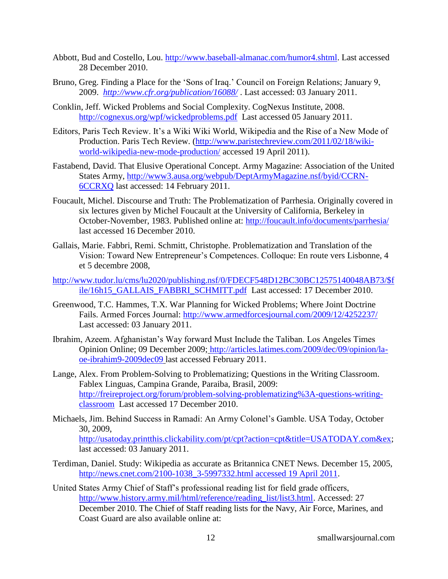- Abbott, Bud and Costello, Lou. [http://www.baseball-almanac.com/humor4.shtml.](http://www.baseball-almanac.com/humor4.shtml) Last accessed 28 December 2010.
- Bruno, Greg. Finding a Place for the 'Sons of Iraq.' Council on Foreign Relations; January 9, 2009. *<http://www.cfr.org/publication/16088/>* . Last accessed: 03 January 2011.
- Conklin, Jeff. Wicked Problems and Social Complexity. CogNexus Institute, 2008. <http://cognexus.org/wpf/wickedproblems.pdf>Last accessed 05 January 2011.
- Editors, Paris Tech Review. It's a Wiki Wiki World, Wikipedia and the Rise of a New Mode of Production. Paris Tech Review. [\(http://www.paristechreview.com/2011/02/18/wiki](http://www.paristechreview.com/2011/02/18/wiki-world-wikipedia-new-mode-production/)[world-wikipedia-new-mode-production/](http://www.paristechreview.com/2011/02/18/wiki-world-wikipedia-new-mode-production/) accessed 19 April 2011).
- Fastabend, David. That Elusive Operational Concept. Army Magazine: Association of the United States Army, [http://www3.ausa.org/webpub/DeptArmyMagazine.nsf/byid/CCRN-](http://www3.ausa.org/webpub/DeptArmyMagazine.nsf/byid/CCRN-6CCRXQ)[6CCRXQ](http://www3.ausa.org/webpub/DeptArmyMagazine.nsf/byid/CCRN-6CCRXQ) last accessed: 14 February 2011.
- Foucault, Michel. Discourse and Truth: The Problematization of Parrhesia. Originally covered in six lectures given by Michel Foucault at the University of California, Berkeley in October-November, 1983. Published online at:<http://foucault.info/documents/parrhesia/> last accessed 16 December 2010.
- Gallais, Marie. Fabbri, Remi. Schmitt, Christophe. Problematization and Translation of the Vision: Toward New Entrepreneur"s Competences. Colloque: En route vers Lisbonne, 4 et 5 decembre 2008,
- [http://www.tudor.lu/cms/lu2020/publishing.nsf/0/FDECF548D12BC30BC12575140048AB73/\\$f](http://www.tudor.lu/cms/lu2020/publishing.nsf/0/FDECF548D12BC30BC12575140048AB73/$file/16h15_GALLAIS_FABBRI_SCHMITT.pdf) [ile/16h15\\_GALLAIS\\_FABBRI\\_SCHMITT.pdf](http://www.tudor.lu/cms/lu2020/publishing.nsf/0/FDECF548D12BC30BC12575140048AB73/$file/16h15_GALLAIS_FABBRI_SCHMITT.pdf) Last accessed: 17 December 2010.
- Greenwood, T.C. Hammes, T.X. War Planning for Wicked Problems; Where Joint Doctrine Fails. Armed Forces Journal:<http://www.armedforcesjournal.com/2009/12/4252237/> Last accessed: 03 January 2011.
- Ibrahim, Azeem. Afghanistan"s Way forward Must Include the Taliban. Los Angeles Times Opinion Online; 09 December 2009; [http://articles.latimes.com/2009/dec/09/opinion/la](http://articles.latimes.com/2009/dec/09/opinion/la-oe-ibrahim9-2009dec09)[oe-ibrahim9-2009dec09](http://articles.latimes.com/2009/dec/09/opinion/la-oe-ibrahim9-2009dec09) last accessed February 2011.
- Lange, Alex. From Problem-Solving to Problematizing; Questions in the Writing Classroom. Fablex Linguas, Campina Grande, Paraiba, Brasil, 2009: [http://freireproject.org/forum/problem-solving-problematizing%3A-questions-writing](http://freireproject.org/forum/problem-solving-problematizing%3A-questions-writing-classroom)[classroom](http://freireproject.org/forum/problem-solving-problematizing%3A-questions-writing-classroom) Last accessed 17 December 2010.
- Michaels, Jim. Behind Success in Ramadi: An Army Colonel"s Gamble. USA Today, October 30, 2009, [http://usatoday.printthis.clickability.com/pt/cpt?action=cpt&title=USATODAY.com&ex;](http://usatoday.printthis.clickability.com/pt/cpt?action=cpt&title=USATODAY.com&ex) last accessed: 03 January 2011.
- Terdiman, Daniel. Study: Wikipedia as accurate as Britannica CNET News. December 15, 2005, [http://news.cnet.com/2100-1038\\_3-5997332.html accessed 19 April 2011.](http://news.cnet.com/2100-1038_3-5997332.html%20accessed%2019%20April%202011)
- United States Army Chief of Staff"s professional reading list for field grade officers, [http://www.history.army.mil/html/reference/reading\\_list/list3.html.](http://www.history.army.mil/html/reference/reading_list/list3.html) Accessed: 27 December 2010. The Chief of Staff reading lists for the Navy, Air Force, Marines, and Coast Guard are also available online at: